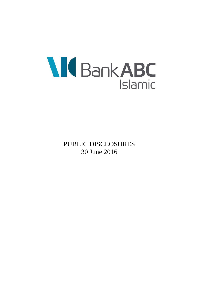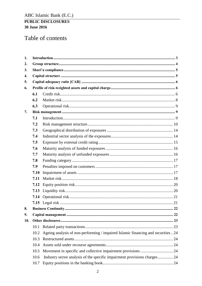# Table of contents

| 1.  |      |                                                                                   |  |
|-----|------|-----------------------------------------------------------------------------------|--|
| 2.  |      |                                                                                   |  |
| 3.  |      |                                                                                   |  |
| 4.  |      |                                                                                   |  |
| 5.  |      |                                                                                   |  |
| 6.  |      |                                                                                   |  |
|     | 6.1  |                                                                                   |  |
|     | 6.2  |                                                                                   |  |
|     | 6.3  |                                                                                   |  |
| 7.  |      |                                                                                   |  |
|     | 7.1  |                                                                                   |  |
|     | 7.2  |                                                                                   |  |
|     | 7.3  |                                                                                   |  |
|     | 7.4  |                                                                                   |  |
|     | 7.5  |                                                                                   |  |
|     | 7.6  |                                                                                   |  |
|     | 7.7  |                                                                                   |  |
|     | 7.8  |                                                                                   |  |
|     | 7.9  |                                                                                   |  |
|     | 7.10 |                                                                                   |  |
|     | 7.11 |                                                                                   |  |
|     | 7.12 |                                                                                   |  |
|     | 7.13 |                                                                                   |  |
|     | 7.14 |                                                                                   |  |
|     |      |                                                                                   |  |
| 8.  |      |                                                                                   |  |
| 9.  |      |                                                                                   |  |
| 10. |      |                                                                                   |  |
|     | 10.1 |                                                                                   |  |
|     | 10.2 | Ageing analysis of non-performing / impaired Islamic financing and securities  24 |  |
|     | 10.3 |                                                                                   |  |
|     | 10.4 |                                                                                   |  |
|     | 10.5 |                                                                                   |  |
|     | 10.6 | Industry sector analysis of the specific impairment provisions charges 24         |  |
|     |      |                                                                                   |  |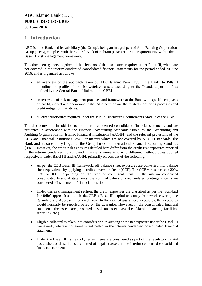### <span id="page-2-0"></span>**1. Introduction**

ABC Islamic Bank and its subsidiary (the Group), being an integral part of Arab Banking Corporation Group (ABC), complies with the Central Bank of Bahrain (CBB) reporting requirements, within the Basel III risk management framework.

This document gathers together all the elements of the disclosures required under Pillar III, which are not covered in the interim condensed consolidated financial statements for the period ended 30 June 2016, and is organized as follows:

- an overview of the approach taken by ABC Islamic Bank (E.C.) [the Bank] to Pillar I including the profile of the risk-weighted assets according to the "standard portfolio" as defined by the Central Bank of Bahrain [the CBB].
- an overview of risk management practices and framework at the Bank with specific emphasis on credit, market and operational risks. Also covered are the related monitoring processes and credit mitigation initiatives.
- all other disclosures required under the Public Disclosure Requirements Module of the CBB.

The disclosures are in addition to the interim condensed consolidated financial statements and are presented in accordance with the Financial Accounting Standards issued by the Accounting and Auditing Organisation for Islamic Financial Institutions [AAOIFI] and the relevant provisions of the CBB and Financial Institutions Law. For matters which are not covered by AAOIFI standards, the Bank and its subsidiary [together the Group] uses the International Financial Reporting Standards [IFRS]. However, the credit risk exposures detailed here differ from the credit risk exposures reported in the interim condensed consolidated financial statements due to different methodologies applied respectively under Basel I1I and AAOIFI, primarily on account of the following:

- As per the CBB Basel III framework, off balance sheet exposures are converted into balance sheet equivalents by applying a credit conversion factor (CCF). The CCF varies between 20%, 50% or 100% depending on the type of contingent item. In the interim condensed consolidated financial statements, the nominal values of credit-related contingent items are considered off-statement of financial position.
- Under this risk management section, the credit exposures are classified as per the 'Standard Portfolio' approach set out in the CBB's Basel III capital adequacy framework covering the "Standardised Approach" for credit risk. In the case of guaranteed exposures, the exposures would normally be reported based on the guarantor. However, in the consolidated financial statements the assets are presented based on asset class (i.e. Islamic financing facilities, securities, etc.).
- Eligible collateral is taken into consideration in arriving at the net exposure under the Basel III framework, whereas collateral is not netted in the interim condensed consolidated financial statements.
- Under the Basel III framework, certain items are considered as part of the regulatory capital base, whereas these items are netted off against assets in the interim condensed consolidated financial statements.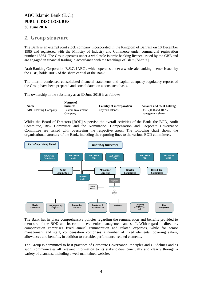### <span id="page-3-0"></span>**2. Group structure**

The Bank is an exempt joint stock company incorporated in the Kingdom of Bahrain on 10 December 1985 and registered with the Ministry of Industry and Commerce under commercial registration number 16864. The Group operates under a wholesale Islamic banking licence issued by the CBB and are engaged in financial trading in accordance with the teachings of Islam [Shari'a].

Arab Banking Corporation B.S.C. [ABC], which operates under a wholesale banking licence issued by the CBB, holds 100% of the share capital of the Bank.

The interim condensed consolidated financial statements and capital adequacy regulatory reports of the Group have been prepared and consolidated on a consistent basis.

The ownership in the subsidiary as at 30 June 2016 is as follows:

|                             | Nature of          |                          |                         |
|-----------------------------|--------------------|--------------------------|-------------------------|
| <b>Name</b>                 | <b>business</b>    | Country of incorporation | Amount and % of holding |
| <b>ABC Clearing Company</b> | Islamic Investment | Cavman Islands           | US\$ 2,000 and 100%     |
|                             | Company            |                          | management shares       |

Whilst the Board of Directors [BOD] supervise the overall activities of the Bank, the BOD, Audit Committee, Risk Committee and the Nomination, Compensation and Corporate Governance Committee are tasked with overseeing the respective areas. The following chart shows the organisational structure of the Bank, including the reporting lines to the various BOD committees.



The Bank has in place comprehensive policies regarding the remuneration and benefits provided to members of the BOD and its committees, senior management and staff. With regard to directors, compensation comprises fixed annual remuneration and related expenses, while for senior management and staff, compensation comprises a number of fixed elements, covering salary, allowances and benefits, in addition to variable, performance-related elements.

The Group is committed to best practices of Corporate Governance Principles and Guidelines and as such, communicates all relevant information to its stakeholders punctually and clearly through a variety of channels, including a well-maintained website.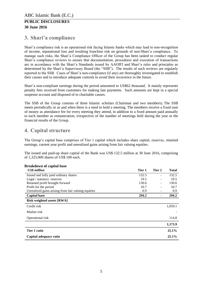# <span id="page-4-0"></span>**3. Shari'a compliance**

Shari'a compliance risk is an operational risk facing Islamic banks which may lead to non-recognition of income, reputational loss and resulting franchise risk on grounds of non-Shari'a compliance. To manage such risks, the Shari'a Compliance Officer of the Group has been tasked to conduct regular Shari'a compliance reviews to ensure that documentation, procedures and execution of transactions are in accordance with the Shari'a Standards issued by AAOIFI and Shari'a rules and principles as determined by the Shari'a Supervisory Board (the "SSB"). The results of such reviews are regularly reported to the SSB. Cases of Shari'a non-compliance (if any) are thoroughly investigated to establish their causes and to introduce adequate controls to avoid their recurrence in the future.

Shari'a non-compliant earnings during the period amounted to US\$62 thousand. It mainly represents penalty fees received from customers for making late payments. Such amounts are kept in a special suspense account and disposed of to charitable causes.

The SSB of the Group consists of three Islamic scholars (Chairman and two members). The SSB meets periodically or as and when there is a need to hold a meeting. The members receive a fixed sum of money as attendance fee for every meeting they attend, in addition to a fixed amount paid annually to each member as remuneration, irrespective of the number of meetings held during the year or the financial results of the Group.

### <span id="page-4-1"></span>**4. Capital structure**

The Group's capital base comprises of Tier 1 capital which includes share capital, reserves, retained earnings, current year profit and unrealized gains arising from fair valuing equities.

The issued and paid-up share capital of the Bank was US\$ 132.5 million at 30 June 2016, comprising of 1,325,000 shares of US\$ 100 each.

| DI CARUOWII OI CAPITAI DASC                         |        |        |              |
|-----------------------------------------------------|--------|--------|--------------|
| <b>US\$</b> million                                 | Tier 1 | Tier 2 | <b>Total</b> |
| Issued and fully paid ordinary shares               | 132.5  |        | 132.5        |
| Legal / statutory reserves                          | 19.5   |        | 19.5         |
| Retained profit brought forward                     | 130.6  |        | 130.6        |
| Profit for the period                               | 10.7   |        | 10.7         |
| Unrealized gains arising from fair valuing equities | 0.9    |        | 0.9          |
| <b>Capital base</b>                                 | 294.2  |        | 294.2        |
| <b>Risk weighted assets [RWA]</b>                   |        |        |              |
| Credit risk                                         |        |        | 1,059.1      |
| Market risk                                         |        |        |              |
| Operational risk                                    |        |        | 114.8        |
|                                                     |        |        | 1,173.9      |
| Tier 1 ratio                                        |        |        | 25.1%        |
| Capital adequacy ratio                              |        |        | $25.1\%$     |

# **Breakdown of capital base**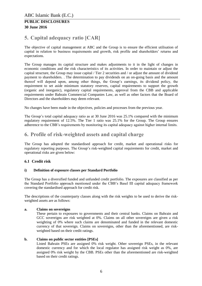# <span id="page-5-0"></span>**5. Capital adequacy ratio [CAR]**

The objective of capital management at ABC and the Group is to ensure the efficient utilisation of capital in relation to business requirements and growth, risk profile and shareholders' returns and expectations.

The Group manages its capital structure and makes adjustments to it in the light of changes in economic conditions and the risk characteristics of its activities. In order to maintain or adjust the capital structure, the Group may issue capital / Tier 2 securities and / or adjust the amount of dividend payment to shareholders. . The determination to pay dividends on an on-going basis and the amount thereof will depend upon, among other things, the Group's earnings, its dividend policy, the requirement to set aside minimum statutory reserves, capital requirements to support the growth (organic and inorganic), regulatory capital requirements, approval from the CBB and applicable requirements under Bahrain Commercial Companies Law, as well as other factors that the Board of Directors and the shareholders may deem relevant.

No changes have been made in the objectives, policies and processes from the previous year.

The Group's total capital adequacy ratio as at 30 June 2016 was 25.1% compared with the minimum regulatory requirement of 12.5%. The Tier 1 ratio was 25.1% for the Group. The Group ensures adherence to the CBB's requirements by monitoring its capital adequacy against higher internal limits.

### <span id="page-5-1"></span>**6. Profile of risk-weighted assets and capital charge**

The Group has adopted the standardised approach for credit, market and operational risks for regulatory reporting purposes. The Group's risk-weighted capital requirements for credit, market and operational risks are given below:

#### <span id="page-5-2"></span>**6.1 Credit risk**

#### **i) Definition of exposure classes per Standard Portfolio**

The Group has a diversified funded and unfunded credit portfolio. The exposures are classified as per the Standard Portfolio approach mentioned under the CBB's Basel III capital adequacy framework covering the standardised approach for credit risk.

The descriptions of the counterparty classes along with the risk weights to be used to derive the riskweighted assets are as follows:

#### **a. Claims on sovereigns**

These pertain to exposures to governments and their central banks. Claims on Bahrain and GCC sovereigns are risk weighted at 0%. Claims on all other sovereigns are given a risk weighting of 0% where such claims are denominated and funded in the relevant domestic currency of that sovereign. Claims on sovereigns, other than the aforementioned, are riskweighted based on their credit ratings.

#### **b. Claims on public sector entities [PSEs]**

Listed Bahrain PSEs are assigned 0% risk weight. Other sovereign PSEs, in the relevant domestic currency and for which the local regulator has assigned risk weight as 0%, are assigned 0% risk weight by the CBB. PSEs other than the aforementioned are risk-weighted based on their credit ratings.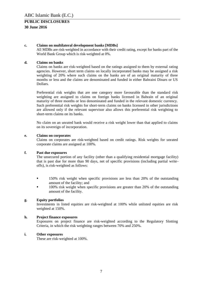#### **c. Claims on multilateral development banks [MDBs]**

All MDBs are risk-weighted in accordance with their credit rating, except for banks part of the World Bank Group which is risk-weighted at 0%.

#### **d. Claims on banks**

Claims on banks are risk-weighted based on the ratings assigned to them by external rating agencies. However, short term claims on locally incorporated banks may be assigned a risk weighting of 20% where such claims on the banks are of an original maturity of three months or less and the claims are denominated and funded in either Bahraini Dinars or US Dollars.

Preferential risk weights that are one category more favourable than the standard risk weighting are assigned to claims on foreign banks licensed in Bahrain of an original maturity of three months or less denominated and funded in the relevant domestic currency. Such preferential risk weights for short-term claims on banks licensed in other jurisdictions are allowed only if the relevant supervisor also allows this preferential risk weighting to short-term claims on its banks.

No claim on an unrated bank would receive a risk weight lower than that applied to claims on its sovereign of incorporation.

#### **e. Claims on corporates**

Claims on corporates are risk-weighted based on credit ratings. Risk weights for unrated corporate claims are assigned at 100%.

#### **f. Past due exposures**

The unsecured portion of any facility (other than a qualifying residential mortgage facility) that is past due for more than 90 days, net of specific provisions (including partial writeoffs), is risk-weighted as follows:

- **150% risk weight when specific provisions are less than 20% of the outstanding** amount of the facility; and
- 100% risk weight when specific provisions are greater than 20% of the outstanding amount of the facility.

#### **g. Equity portfolios**

Investments in listed equities are risk-weighted at 100% while unlisted equities are risk weighted at 150%.

#### **h. Project finance exposures**

Exposures on project finance are risk-weighted according to the Regulatory Slotting Criteria, in which the risk weighting ranges between 70% and 250%.

#### **i. Other exposures**

These are risk-weighted at 100%.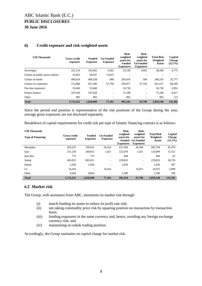| <b>US\$</b> Thousands            | <b>Gross credit</b><br>exposure | <b>Funded</b><br><b>Exposure</b> | <b>Un-Funded</b><br><b>Exposure</b> | Risk-<br>weighted<br>assets for<br><b>Funded</b><br><b>Exposures</b> | Risk-<br>weighted<br>assets for<br><b>Un-Funded</b><br><b>Exposures</b> | <b>Total Risk</b><br>Weighted<br><b>Assets</b> | Capital<br><b>Charge</b><br>$(12.5\%)$ |
|----------------------------------|---------------------------------|----------------------------------|-------------------------------------|----------------------------------------------------------------------|-------------------------------------------------------------------------|------------------------------------------------|----------------------------------------|
| Sovereigns                       | 322,124                         | 316,462                          | 5,662                               | 32,538                                                               | 5,662                                                                   | 38,200                                         | 4,775                                  |
| Claims on public sector entities | 43,962                          | 30,937                           | 13,025                              | ۰                                                                    | ۰                                                                       |                                                |                                        |
| Claims on banks                  | 490.014                         | 489,334                          | 680                                 | 285,876                                                              | 340                                                                     | 286,216                                        | 35,777                                 |
| Claims on corporates             | 715,080                         | 657,286                          | 57,794                              | 583,877                                                              | 57,794                                                                  | 641,671                                        | 80,209                                 |
| Past due exposures               | 33,460                          | 33,460                           | -                                   | 16,730                                                               | $\overline{\phantom{0}}$                                                | 16,730                                         | 2,091                                  |
| Project finance                  | 107.628                         | 107.628                          | ۰.                                  | 75,340                                                               | ۰.                                                                      | 75.340                                         | 9,417                                  |
| Other                            | 983                             | 983                              | ۰                                   | 983                                                                  |                                                                         | 983                                            | 123                                    |
| <b>Total</b>                     | 1,713,251                       | 1,636,090                        | 77,161                              | 995,344                                                              | 63,796                                                                  | 1,059,140                                      | 132,392                                |

#### **ii) Credit exposure and risk-weighted assets**

Since the period end position is representative of the risk positions of the Group during the year, average gross exposures are not disclosed separately.

Breakdown of capital requirements for credit risk per type of Islamic financing contract is as follows:

| <b>US\$</b> Thousands    |                                                                     |           |                                     | Risk-                                                       | Risk-                                                          |                                                |                                        |
|--------------------------|---------------------------------------------------------------------|-----------|-------------------------------------|-------------------------------------------------------------|----------------------------------------------------------------|------------------------------------------------|----------------------------------------|
| <b>Type of Financing</b> | <b>Funded</b><br><b>Gross credit</b><br><b>Exposure</b><br>exposure |           | <b>Un-Funded</b><br><b>Exposure</b> | weighted<br>assets for<br><b>Funded</b><br><b>Exposures</b> | weighted<br>assets for<br><b>Un-Funded</b><br><b>Exposures</b> | <b>Total Risk</b><br>Weighted<br><b>Assets</b> | Capital<br><b>Charge</b><br>$(12.5\%)$ |
| Murabaha                 | 829,255                                                             | 769,931   | 59,324                              | 637,494                                                     | 46,300                                                         | 683,794                                        | 85,474                                 |
| Ijara                    | 251,236                                                             | 249.815   | 1,421                               | 122,678                                                     | 1,421                                                          | 124,099                                        | 15,512                                 |
| Ijara Rec                | 773                                                                 | 773       | ٠                                   | 494                                                         |                                                                | 494                                            | 62                                     |
| Sukuk                    | 605,051                                                             | 605,051   | $\overline{\phantom{a}}$            | 229,833                                                     | ۰.                                                             | 229,833                                        | 28,729                                 |
| Equity                   | 2,456                                                               | 2,456     | ۰.                                  | 2,456                                                       | -                                                              | 2,456                                          | 307                                    |
| LC                       | 16.416                                                              | ٠         | 16.416                              | $\overline{a}$                                              | 16,075                                                         | 16.075                                         | 2,009                                  |
| Other                    | 8.064                                                               | 8.064     | ۰.                                  | 2,389                                                       |                                                                | 2,389                                          | 299                                    |
| <b>Total</b>             | 1.713.251                                                           | 1,636,090 | 77,161                              | 995,344                                                     | 63,796                                                         | 1,059,140                                      | 132,392                                |

#### <span id="page-7-0"></span>**6.2 Market risk**

The Group, with assistance from ABC, minimizes its market risk through:

- (i) match-funding its assets to reduce its profit rate risk;
- (ii) not taking commodity price risk by squaring position on transaction by transaction basis;
- (iii) funding exposures in the same currency and, hence, avoiding any foreign exchange currency risk; and
- (iv) maintaining no sukuk trading position.

Accordingly, the Group maintains no capital charge for market risk.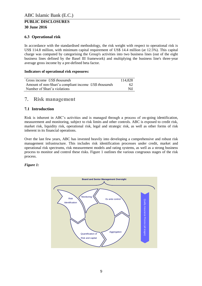### <span id="page-8-0"></span>**6.3 Operational risk**

In accordance with the standardised methodology, the risk weight with respect to operational risk is US\$ 114.8 million, with minimum capital requirement of US\$ 14.4 million (at 12.5%). This capital charge was computed by categorising the Group's activities into two business lines (out of the eight business lines defined by the Basel III framework) and multiplying the business line's three-year average gross income by a pre-defined beta factor.

#### **Indicators of operational risk exposures:**

| Gross income US\$ thousands                           | 114.828 |
|-------------------------------------------------------|---------|
| Amount of non-Shari'a compliant income US\$ thousands | 62      |
| Number of Shari'a violations                          | Nil.    |

### <span id="page-8-1"></span>**7. Risk management**

### <span id="page-8-2"></span>**7.1 Introduction**

Risk is inherent in ABC's activities and is managed through a process of on-going identification, measurement and monitoring, subject to risk limits and other controls. ABC is exposed to credit risk, market risk, liquidity risk, operational risk, legal and strategic risk, as well as other forms of risk inherent in its financial operations.

Over the last few years, ABC has invested heavily into developing a comprehensive and robust risk management infrastructure. This includes risk identification processes under credit, market and operational risk spectrums, risk measurement models and rating systems, as well as a strong business process to monitor and control these risks. Figure 1 outlines the various congruous stages of the risk process.

#### *Figure 1:*

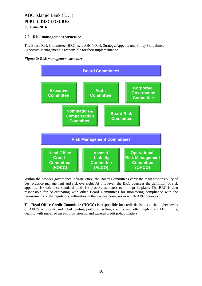#### <span id="page-9-0"></span>**7.2 Risk management structure**

The Board Risk Committee (BRC) sets ABC's Risk Strategy/Appetite and Policy Guidelines. Executive Management is responsible for their implementation.





Within the broader governance infrastructure, the Board Committees carry the main responsibility of best practice management and risk oversight. At this level, the BRC oversees the definition of risk appetite, risk tolerance standards and risk process standards to be kept in place. The BRC is also responsible for co-ordinating with other Board Committees for monitoring compliance with the requirements of the regulatory authorities in the various countries in which ABC operates.

The **Head Office Credit Committee (HOCC)** is responsible for credit decisions at the higher levels of ABC's wholesale and retail lending portfolio, setting country and other high level ABC limits, dealing with impaired assets, provisioning and general credit policy matters.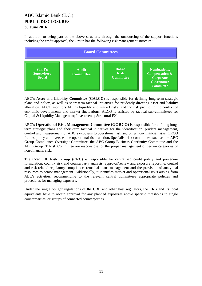In addition to being part of the above structure, through the outsourcing of the support functions including the credit approval, the Group has the following risk management structure:



ABC's **Asset and Liability Committee (GALCO)** is responsible for defining long-term strategic plans and policy, as well as short-term tactical initiatives for prudently directing asset and liability allocation. ALCO monitors ABC's liquidity and market risks, and the risk profile, in the context of economic developments and market fluctuations. ALCO is assisted by tactical sub-committees for Capital & Liquidity Management; Investments; Structural FX.

ABC's **Operational Risk Management Committee (GORCO)** is responsible for defining longterm strategic plans and short-term tactical initiatives for the identification, prudent management, control and measurement of ABC's exposure to operational risk and other non-financial risks. ORCO frames policy and oversees the operational risk function. Specialist risk committees, such as the ABC Group Compliance Oversight Committee, the ABC Group Business Continuity Committee and the ABC Group IT Risk Committee are responsible for the proper management of certain categories of non-financial risk.

The **Credit & Risk Group (CRG)** is responsible for centralised credit policy and procedure formulation, country risk and counterparty analysis, approval/review and exposure reporting, control and risk-related regulatory compliance, remedial loans management and the provision of analytical resources to senior management. Additionally, it identifies market and operational risks arising from ABC's activities, recommending to the relevant central committees appropriate policies and procedures for managing exposure.

Under the single obligor regulations of the CBB and other host regulators, the CRG and its local equivalents have to obtain approval for any planned exposures above specific thresholds to single counterparties, or groups of connected counterparties.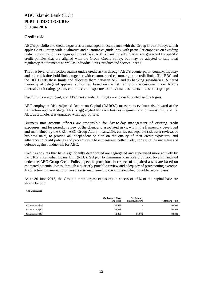#### **Credit risk**

ABC's portfolio and credit exposures are managed in accordance with the Group Credit Policy, which applies ABC Group-wide qualitative and quantitative guidelines, with particular emphasis on avoiding undue concentrations or aggregations of risk. ABC's banking subsidiaries are governed by specific credit policies that are aligned with the Group Credit Policy, but may be adapted to suit local regulatory requirements as well as individual units' product and sectoral needs.

The first level of protection against undue credit risk is through ABC's counterparty, country, industry and other risk threshold limits, together with customer and customer group credit limits. The BRC and the HOCC sets these limits and allocates them between ABC and its banking subsidiaries. A tiered hierarchy of delegated approval authorities, based on the risk rating of the customer under ABC's internal credit rating system, controls credit exposure to individual customers or customer groups.

Credit limits are prudent, and ABC uses standard mitigation and credit control technologies.

ABC employs a Risk-Adjusted Return on Capital (RAROC) measure to evaluate risk/reward at the transaction approval stage. This is aggregated for each business segment and business unit, and for ABC as a whole. It is upgraded when appropriate.

Business unit account officers are responsible for day-to-day management of existing credit exposures, and for periodic review of the client and associated risks, within the framework developed and maintained by the CRG. ABC Group Audit, meanwhile, carries out separate risk asset reviews of business units, to provide an independent opinion on the quality of their credit exposures, and adherence to credit policies and procedures. These measures, collectively, constitute the main lines of defence against undue risk for ABC.

Credit exposures that have significantly deteriorated are segregated and supervised more actively by the CRG's Remedial Loans Unit (RLU). Subject to minimum loan loss provision levels mandated under the ABC Group Credit Policy, specific provisions in respect of impaired assets are based on estimated potential losses, through a quarterly portfolio review and adequacy of provisioning exercise. A collective impairment provision is also maintained to cover unidentified possible future losses.

As at 30 June 2016, the Group's three largest exposures in excess of 15% of the capital base are shown below:

#### *US\$ Thousands*

|                  | <b>On Balance Sheet</b><br><b>Exposure</b> | <b>Off Balance</b><br><b>Sheet Exposure</b> | <b>Total Exposure</b> |
|------------------|--------------------------------------------|---------------------------------------------|-----------------------|
| Counterparty [A] | 109,599                                    |                                             | 109,599               |
| Counterparty [B] | 93,988                                     |                                             | 93.988                |
| Counterparty [C] | 11.301                                     | 81,000                                      | 92,301                |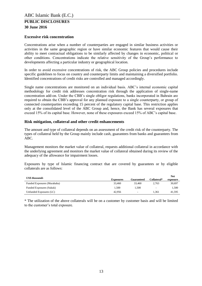#### **Excessive risk concentration**

Concentrations arise when a number of counterparties are engaged in similar business activities or activities in the same geographic region or have similar economic features that would cause their ability to meet contractual obligations to be similarly affected by changes in economic, political or other conditions. Concentrations indicate the relative sensitivity of the Group's performance to developments affecting a particular industry or geographical location.

In order to avoid excessive concentrations of risk, the ABC Group policies and procedures include specific guidelines to focus on country and counterparty limits and maintaining a diversified portfolio. Identified concentrations of credit risks are controlled and managed accordingly.

Single name concentrations are monitored on an individual basis. ABC's internal economic capital methodology for credit risk addresses concentration risk through the application of single-name concentration add-on. Under the CBB's single obligor regulations, banks incorporated in Bahrain are required to obtain the CBB's approval for any planned exposure to a single counterparty, or group of connected counterparties exceeding 15 percent of the regulatory capital base. This restriction applies only at the consolidated level of the ABC Group and, hence, the Bank has several exposures that exceed 15% of its capital base. However, none of these exposures exceed 15% of ABC's capital base.

#### **Risk mitigation, collateral and other credit enhancements**

The amount and type of collateral depends on an assessment of the credit risk of the counterparty. The types of collateral held by the Group mainly include cash, guarantees from banks and guarantees from ABC.

Management monitors the market value of collateral, requests additional collateral in accordance with the underlying agreement and monitors the market value of collateral obtained during its review of the adequacy of the allowance for impairment losses.

Exposures by type of Islamic financing contract that are covered by guarantees or by eligible collaterals are as follows:

| US\$ thousands              |                  |            |                          | Net      |
|-----------------------------|------------------|------------|--------------------------|----------|
|                             | <b>Exposures</b> | Guaranteed | Collateral*              | exposure |
| Funded Exposures (Murabaha) | 33,460           | 33.460     | 2.763                    | 30.697   |
| Funded Exposures (Sukuk)    | 1.500            | 1.500      | $\overline{\phantom{a}}$ | 1.500    |
| Unfunded Exposures (LC)     | 42.956           | ۰          | 1.361                    | 41.595   |

\* The utilization of the above collaterals will be on a customer by customer basis and will be limited to the customer's total exposure.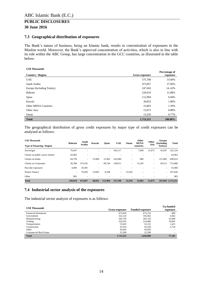#### <span id="page-13-0"></span>**7.3 Geographical distribution of exposures**

The Bank's nature of business, being an Islamic bank, results in concentration of exposures in the Muslim world. Moreover, the Bank's approved concentration of activities, which is also in line with its role within the ABC Group, has large concentration in the GCC countries, as illustrated in the table below:

#### *US\$ Thousands*

| <b>Country / Region</b>     | Gross exposure | Percentage of<br>exposure |
|-----------------------------|----------------|---------------------------|
| <b>UAE</b>                  | 575,708        | 33.60%                    |
| Saudi Arabia                | 473,857        | 27.66%                    |
| Europe (Including Turkey)   | 247,043        | 14.42%                    |
| Bahrain                     | 220,610        | 12.88%                    |
| Oatar                       | 112,994        | 6.60%                     |
| Kuwait                      | 30,853         | 1.80%                     |
| <b>Other MENA Countries</b> | 23,863         | 1.39%                     |
| Other Asia                  | 15,073         | 0.88%                     |
| Oman                        | 13,250         | 0.77%                     |
| <b>Total</b>                | 1,713,251      | 100.00%                   |

The geographical distribution of gross credit exposures by major type of credit exposures can be analysed as follows:

| <b>US\$</b> Thousands             | <b>Bahrain</b> | Saudi                    | Kuwait | Oatar   | <b>UAE</b> | Oman                     | Other<br><b>MENA</b> | Other  | <b>Europe</b><br>(Including) | <b>Total</b>      |
|-----------------------------------|----------------|--------------------------|--------|---------|------------|--------------------------|----------------------|--------|------------------------------|-------------------|
| <b>Type of Financing / Region</b> |                | Arabia                   |        |         |            |                          | countries            | Asia   | Turkey)                      |                   |
| Sovereigns                        | 70.447         | $\overline{\phantom{a}}$ |        | $\sim$  | 183.117    | ٠                        | 7,840                | 15,073 | 45,647                       | 322.124           |
| Claims on public sector entities  | 43,962         |                          |        |         |            |                          |                      |        | $\sim$                       | 43,962            |
| Claims on banks                   | 64,759         | $\sim$                   | 15,008 | 15,002  | 242,680    | $\overline{\phantom{a}}$ | 680                  | ۰      | 151,885                      | 490.014           |
| Claims on Corporates              | 36,390         | 374.181                  | ٠      | 89.744  | 149,911    | ٠                        | 15,343               | ۰      | 49.511                       | 715,080           |
| Past due exposures                | 4.069          | 29,391                   |        |         |            |                          |                      |        | $\sim$                       | 33,460            |
| Project finance                   | ٠              | 70.285                   | 15,845 | 8,248   | $\sim$     | 13.250                   |                      |        | $\sim$                       | 107,628           |
| Other                             | 983            |                          |        |         |            |                          |                      |        | $\overline{\phantom{a}}$     | 983               |
| <b>Total</b>                      | 220,610        | 473.857                  | 30,853 | 112.994 | 575,708    | 13.250                   | 23.863               | 15,073 |                              | 247,043 1,713,251 |

#### <span id="page-13-1"></span>**7.4 Industrial sector analysis of the exposures**

The industrial sector analysis of exposures is as follows:

| <b>US\$</b> Thousands         |                       |                        | <b>Un-funded</b>         |
|-------------------------------|-----------------------|------------------------|--------------------------|
|                               | <b>Gross exposure</b> | <b>Funded exposure</b> | exposure                 |
| <b>Financial Institutions</b> | 673,834               | 673,154                | 680                      |
| Government                    | 322,124               | 316,462                | 5,662                    |
| Manufacturing                 | 320,759               | 265,150                | 55,609                   |
| Trading                       | 224,545               | 214,480                | 10,065                   |
| Transportation                | 53,633                | 52,212                 | 1.421                    |
| Construction                  | 47,074                | 43,350                 | 3,724                    |
| Other                         | 45,692                | 45,692                 | -                        |
| <b>Commercial Real Estate</b> | 25,590                | 25,590                 | $\overline{\phantom{a}}$ |
| <b>Total</b>                  | 1,713,251             | 1,636,090              | 77,161                   |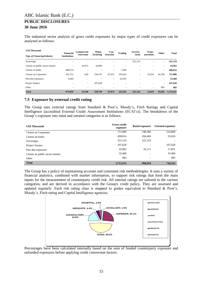The industrial sector analysis of gross credit exposures by major types of credit exposures can be analysed as follows:

| <b>US\$</b> Thousands             |                                         | Commercial               | Manu-                    | Con-      |                          | Govern-                  | Trans-    |        |              |
|-----------------------------------|-----------------------------------------|--------------------------|--------------------------|-----------|--------------------------|--------------------------|-----------|--------|--------------|
| <b>Type of Financing/Industry</b> | <b>Financial</b><br><b>Institutions</b> | real estate              | facturing                | struction | <b>Trading</b>           | ment                     | portation | Other  | <b>Total</b> |
| Sovereigns                        | $\overline{\phantom{a}}$                | $\overline{\phantom{a}}$ | $\overline{\phantom{a}}$ | ۰         | $\overline{\phantom{a}}$ | 322,124                  | ۰         | ٠      | 322,124      |
| Claims on public sector entities  | ٠                                       | 24,972                   | 18,990                   | ۰         | $\overline{\phantom{a}}$ | $\overline{\phantom{a}}$ | -         | ٠      | 43,962       |
| Claims on banks                   | 488,514                                 | $\overline{\phantom{a}}$ |                          | ٠         | 1,500                    | $\overline{\phantom{a}}$ | -         | $\sim$ | 490,014      |
| Claims on Corporates              | 181,251                                 | 618                      | 194.141                  | 47,074    | 193.654                  | $\overline{\phantom{a}}$ | 53,633    | 44.709 | 715,080      |
| Past due exposures                | 4,069                                   | $\overline{\phantom{a}}$ | $\overline{\phantom{a}}$ | ٠         | 29,391                   |                          |           | ٠      | 33,460       |
| Project finance                   | $\overline{\phantom{a}}$                | $\sim$                   | 107,628                  | ۰         | $\overline{\phantom{a}}$ | $\overline{\phantom{a}}$ | -         | $\sim$ | 107,628      |
| Other                             | $\overline{\phantom{a}}$                | $\overline{\phantom{a}}$ | $\overline{\phantom{a}}$ | ۰         | $\overline{\phantom{a}}$ |                          | -         | 983    | 983          |
| <b>Total</b>                      | 673,834                                 | 25.590                   | 320,759                  | 47.074    | 224,545                  | 322.124                  | 53,633    | 45,692 | 1,713,251    |

#### <span id="page-14-0"></span>**7.5 Exposure by external credit rating**

The Group uses external ratings from Standard & Poor's, Moody's, Fitch Ratings and Capital Intelligence [accredited External Credit Assessment Institutions (ECAI's)]. The breakdown of the Group's exposure into rated and unrated categories is as follows:

| <b>US\$</b> Thousands            | <b>Gross credit</b><br>exposure | Rated exposure | <b>Unrated exposure</b> |
|----------------------------------|---------------------------------|----------------|-------------------------|
| Claims on Corporates             | 715,080                         | 190,280        | 524,800                 |
| Claims on banks                  | 490,014                         | 456,404        | 33,610                  |
| Sovereigns                       | 322,124                         | 322,124        |                         |
| Project finance                  | 107,628                         |                | 107,628                 |
| Past due exposures               | 43,962                          | 26,111         | 17,851                  |
| Claims on public sector entities | 33,460                          |                | 33,460                  |
| Other                            | 983                             | ۰              | 983                     |
| <b>Total</b>                     | 1,713,251                       | 994,919        | 718,332                 |

The Group has a policy of maintaining accurate and consistent risk methodologies. It uses a variety of financial analytics, combined with market information, to support risk ratings that form the main inputs for the measurement of counterparty credit risk. All internal ratings are tailored to the various categories, and are derived in accordance with the Group's credit policy. They are assessed and updated regularly. Each risk rating class is mapped to grades equivalent to Standard  $\&$  Poor's, Moody's, Fitch rating and Capital Intelligence agencies.



Percentages have been calculated internally based on the sum of funded counterparty exposure and unfunded exposures before applying credit conversion factors.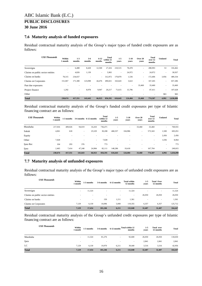#### <span id="page-15-0"></span>**7.6 Maturity analysis of funded exposures**

Residual contractual maturity analysis of the Group's major types of funded credit exposures are as follows:

| <b>US\$</b> Thousands            | Within<br>1 month        | $1-3$<br>months          | $3-6$<br>months | $6 - 12$<br>months       | Total<br>within 12<br>months | $1 - 5$<br>vears | $5-10$<br>years | Over 20<br>years         | Total<br>over 12<br>months | <b>Undated</b>           | <b>Total</b> |
|----------------------------------|--------------------------|--------------------------|-----------------|--------------------------|------------------------------|------------------|-----------------|--------------------------|----------------------------|--------------------------|--------------|
| Sovereigns                       | ٠                        | 6,488                    | 8,428           | 12,500                   | 27,416                       | 210,515          | 78,478          | ٠                        | 288,993                    | 53                       | 316,462      |
| Claims on public sector entities | ٠                        | 4,826                    | 1,139           | $\overline{\phantom{a}}$ | 5,965                        | $\sim$           | 24,972          | $\overline{\phantom{a}}$ | 24,972                     | $\overline{\phantom{a}}$ | 30,937       |
| Claims on banks                  | 78,315                   | 234,657                  |                 | $\overline{\phantom{a}}$ | 312,972                      | 170,870          | 1,536           | $\overline{\phantom{a}}$ | 172,406                    | 3,956                    | 489,334      |
| Claims on Corporates             | 151.067                  | 171,380                  | 123,098         | 44,476                   | 490.021                      | 163,643          | 3,622           | ٠                        | 167,265                    | $\overline{\phantom{a}}$ | 657,286      |
| Past due exposures               |                          |                          |                 |                          |                              |                  | -               | 33,460                   | 33,460                     | $\overline{\phantom{a}}$ | 33,460       |
| Project finance                  | 1,292                    | $\overline{\phantom{a}}$ | 8,978           | 9,947                    | 20,217                       | 71,615           | 15,796          | ٠                        | 87,411                     | $\overline{\phantom{a}}$ | 107,628      |
| Other                            | $\overline{\phantom{a}}$ |                          |                 |                          |                              |                  |                 |                          | $\overline{\phantom{a}}$   | 983                      | 983          |
| <b>Total</b>                     | 230,674                  | 417,351                  | 141,643         | 66.923                   | 856.591                      | 616,643          | 124,404         | 33,460                   | 774.507                    | 4,992                    | 1,636,090    |

Residual contractual maturity analysis of the Group's funded credit exposures per type of Islamic financing contract are as follows:

| <b>US\$</b> Thousands | Within<br>1 month | 1-3 months |         | 3-6 months 6-12 months   | <b>Total</b><br>within 12<br>months | $1 - 5$<br>years | $5 - 10$<br>years | Over 20<br>years         | <b>Total</b><br>over 12<br>months | Undated                  | <b>Total</b> |
|-----------------------|-------------------|------------|---------|--------------------------|-------------------------------------|------------------|-------------------|--------------------------|-----------------------------------|--------------------------|--------------|
| Murabaha              | 217,016           | 409,026    | 94,019  | 16,410                   | 736,471                             |                  |                   | 33,460                   | 33,460                            | $\overline{\phantom{a}}$ | 769,931      |
| Sukuk                 | 4,061             | 618        | ۰       | 25,529                   | 30,208                              | 468,357          | 104,986           | $\sim$                   | 573,343                           | 1,500                    | 605,051      |
| Equity                | -                 |            |         |                          |                                     |                  |                   |                          | -                                 | 2,456                    | 2,456        |
| Other                 | 7,028             |            |         | $\overline{\phantom{a}}$ | 7,028                               |                  |                   |                          | -                                 | 1,036                    | 8,064        |
| Ijara Rec             | 104               | 293        | 376     | ٠                        | 773                                 | ۰                |                   |                          |                                   | $\overline{\phantom{a}}$ | 773          |
| Ijara                 | 2,465             | 7,414      | 47,248  | 24,984                   | 82,111                              | 148,286          | 19,418            | $\overline{\phantom{a}}$ | 167,704                           | $\overline{\phantom{a}}$ | 249,815      |
| <b>Total</b>          | 230,674           | 417,351    | 141,643 | 66,923                   | 856,591                             | 616,643          | 124,404           | 33,460                   | 774,507                           | 4,992                    | 1,636,090    |

#### <span id="page-15-1"></span>**7.7 Maturity analysis of unfunded exposures**

Residual contractual maturity analysis of the Group's major types of unfunded credit exposures are as follows:

| <b>US\$ Thousands</b>            | Within<br>1 month        | 1-3 months               | 3-6 months | 6-12 months              | <b>Total within</b><br>12 months | $1-5$<br>vears | <b>Total Over</b><br>12 months | <b>Total</b> |
|----------------------------------|--------------------------|--------------------------|------------|--------------------------|----------------------------------|----------------|--------------------------------|--------------|
| Sovereigns                       | $\overline{\phantom{a}}$ | 11,324                   | -          | $\overline{\phantom{a}}$ | 11,324                           |                | $\overline{\phantom{a}}$       | 11,324       |
| Claims on public sector entities | ۰                        | $\overline{\phantom{a}}$ | -          | ۰                        | $\overline{\phantom{a}}$         | 26,050         | 26,050                         | 26,050       |
| Claims on banks                  | ۰                        | $\overline{\phantom{a}}$ | 150        | 1,211                    | 1,361                            | ۰              | $\overline{\phantom{a}}$       | 1,361        |
| Claims on Corporates             | 7,129                    | 6,130                    | 10.096     | 5,000                    | 119,355                          | 6,357          | 6.357                          | 125,712      |
| <b>Total</b>                     | 7.129                    | 17.454                   | 101.246    | 6,211                    | 132,040                          | 32,407         | 32,407                         | 164,447      |

Residual contractual maturity analysis of the Group's unfunded credit exposures per type of Islamic financing contract are as follows:

| <b>US\$</b> Thousands | Within<br>1 month        | 1-3 months | 3-6 months               | 6-12 months              | Total within 12<br>months | $1-5$<br>vears | <b>Total over</b><br>12 months | <b>Total</b> |
|-----------------------|--------------------------|------------|--------------------------|--------------------------|---------------------------|----------------|--------------------------------|--------------|
| Murabaha              | ۰                        | 11,324     | 81,276                   | $\overline{\phantom{a}}$ | 92,600                    | 26,050         | 26,050                         | 118,650      |
| Ijara                 | $\overline{\phantom{a}}$ | -          | $\overline{\phantom{a}}$ | $\overline{\phantom{a}}$ | $\overline{\phantom{a}}$  | 2,841          | 2,841                          | 2,841        |
| LC                    | 7,129                    | 6,130      | 19,970                   | 6,211                    | 39.440                    | 3,516          | 3,516                          | 42,956       |
| <b>Total</b>          | 7,129                    | 17,454     | 101,246                  | 6,211                    | 132,040                   | 32,407         | 32,407                         | 164,447      |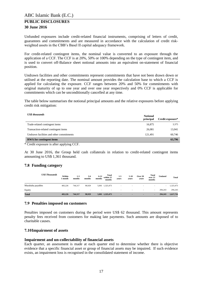Unfunded exposures include credit-related financial instruments, comprising of letters of credit, guarantees and commitments and are measured in accordance with the calculation of credit riskweighted assets in the CBB's Basel II capital adequacy framework.

For credit-related contingent items, the nominal value is converted to an exposure through the application of a CCF. The CCF is at 20%, 50% or 100% depending on the type of contingent item, and is used to convert off-Balance sheet notional amounts into an equivalent on-statement of financial position.

Undrawn facilities and other commitments represent commitments that have not been drawn down or utilised at the reporting date. The nominal amount provides the calculation base to which a CCF is applied for calculating the exposure. CCF ranges between 20% and 50% for commitments with original maturity of up to one year and over one year respectively and 0% CCF is applicable for commitments which can be unconditionally cancelled at any time.

The table below summarises the notional principal amounts and the relative exposures before applying credit risk mitigation:

| <b>US\$</b> thousands                    | <b>Notional</b><br>principal | Credit exposure* |
|------------------------------------------|------------------------------|------------------|
| Trade-related contingent items           | 16,875                       | 3,375            |
| Transaction-related contingent items     | 26,081                       | 13,041           |
| Undrawn facilities and other commitments | 121,491                      | 60.746           |
| <b>RWA</b> for contingent items          |                              | 63,796           |

\* Credit exposure is after applying CCF.

At 30 June 2016, the Group held cash collaterals in relation to credit-related contingent items amounting to US\$ 1,361 thousand.

#### <span id="page-16-0"></span>**7.8 Funding category**

| <b>US\$ Thousands</b> | Within<br>l month | $1-3$<br>months          | $3-6$<br>months          | $6 - 12$<br>months | Total<br>within 12<br>months | $1-5$<br>vears           | $5 - 10$<br>vears        | Over 20<br>years         | Total<br>over 12<br>months | <b>Undated</b>           | <b>Total</b> |
|-----------------------|-------------------|--------------------------|--------------------------|--------------------|------------------------------|--------------------------|--------------------------|--------------------------|----------------------------|--------------------------|--------------|
| Murabaha payables     | 483,226           | 744,317                  | 90,929                   |                    | 5,001 1,323,473              | $\overline{\phantom{a}}$ | $\overline{\phantom{a}}$ | $\sim$                   | $\overline{\phantom{a}}$   | $\overline{\phantom{a}}$ | 1,323,473    |
| Equity                | $\sim$            | $\overline{\phantom{a}}$ | $\overline{\phantom{0}}$ | $\sim$             | $\overline{\phantom{a}}$     | $\overline{\phantom{0}}$ | $\overline{\phantom{a}}$ | $\overline{\phantom{0}}$ | $\sim$                     | 294.243                  | 294,243      |
| <b>Total</b>          | 483,226           | 744,317                  | 90,929                   |                    | 5,001 1,323,473              |                          | $\overline{\phantom{0}}$ | $\overline{\phantom{0}}$ | $\blacksquare$             | 294,243                  | 1,617,716    |

#### <span id="page-16-1"></span>**7.9 Penalties imposed on customers**

Penalties imposed on customers during the period were US\$ 62 thousand. This amount represents penalty fees received from customers for making late payments. Such amounts are disposed of to charitable causes.

#### <span id="page-16-2"></span>**7.10Impairment of assets**

#### **Impairment and un-collectability of financial assets**

Each quarter, an assessment is made at each quarter end to determine whether there is objective evidence that a specific financial asset or group of financial assets may be impaired. If such evidence exists, an impairment loss is recognised in the consolidated statement of income.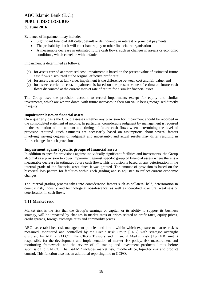Evidence of impairment may include:

- Significant financial difficulty, default or delinquency in interest or principal payments
- The probability that it will enter bankruptcy or other financial reorganisation
- A measurable decrease in estimated future cash flows, such as changes in arrears or economic conditions, which correlate with defaults.

Impairment is determined as follows:

- (a) for assets carried at amortised cost, impairment is based on the present value of estimated future cash flows discounted at the original effective profit rate;
- (b) for assets carried at fair value, impairment is the difference between cost and fair value; and
- (c) for assets carried at cost, impairment is based on the present value of estimated future cash flows discounted at the current market rate of return for a similar financial asset.

The Group uses the provision account to record impairments except for equity and similar investments, which are written down, with future increases in their fair value being recognised directly in equity.

#### **Impairment losses on financial assets**

On a quarterly basis the Group assesses whether any provision for impairment should be recorded in the consolidated statement of income. In particular, considerable judgment by management is required in the estimation of the amount and timing of future cash flows when determining the level of provision required. Such estimates are necessarily based on assumptions about several factors involving varying degrees of judgment and uncertainty, and actual results may differ resulting in future changes in such provisions.

#### **Impairment against specific groups of financial assets**

In addition to specific provisions against individually significant facilities and investments, the Group also makes a provision to cover impairment against specific group of financial assets where there is a measurable decrease in estimated future cash flows. This provision is based on any deterioration in the internal grade of the financial asset since it was granted. The amount of provision is based on the historical loss pattern for facilities within each grading and is adjusted to reflect current economic changes.

The internal grading process takes into consideration factors such as collateral held, deterioration in country risk, industry and technological obsolescence, as well as identified structural weakness or deterioration in cash flows.

#### <span id="page-17-0"></span>**7.11 Market risk**

Market risk is the risk that the Group's earnings or capital, or its ability to support its business strategy, will be impacted by changes in market rates or prices related to profit rates, equity prices, credit spreads, foreign exchange rates and commodity prices.

ABC has established risk management policies and limits within which exposure to market risk is measured, monitored and controlled by the Credit Risk Group [CRG] with strategic oversight exercised by ABC's GALCO. The CRG's Treasury and Financial Market Risk [T&FMR] unit is responsible for the development and implementation of market risk policy, risk measurement and monitoring framework, and the review of all trading and investment products/ limits before submission to GALCO. The T&FMR includes market risk, middle office, liquidity risk and product control. This function also has an additional reporting line to GCFO.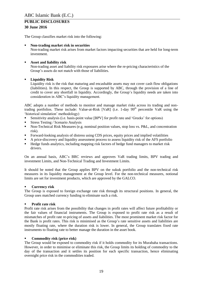The Group classifies market risk into the following:

#### **Non-trading market risk in securities**

Non-trading market risk arises from market factors impacting securities that are held for long-term investment.

#### **Asset and liability risk**

Non-trading asset and liability risk exposures arise where the re-pricing characteristics of the Group's assets do not match with those of liabilities.

#### **Liquidity Risk**

Liquidity risk is the risk that maturing and encashable assets may not cover cash flow obligations (liabilities). In this respect, the Group is supported by ABC, through the provision of a line of credit to cover any shortfall in liquidity. Accordingly, the Group's liquidity needs are taken into consideration in ABC's liquidity management.

ABC adopts a number of methods to monitor and manage market risks across its trading and nontrading portfolios. These include: Value-at-Risk  $[VaR]$  (i.e. 1-day 99<sup>th</sup> percentile VaR using the 'historical simulation' methodology)

- Sensitivity analysis (i.e. basis-point value [BPV] for profit rate and 'Greeks' for options)
- Stress Testing / Scenario Analysis
- Non-Technical Risk Measures (e.g. nominal position values, stop loss vs. P&L, and concentration risk).
- Forward-looking analysis of distress using CDS prices, equity prices and implied volatilities
- A price-discovery and liquidity assessment process to assess liquidity risk of the AFS portfolio
- Hedge funds analytics, including mapping risk factors of hedge fund managers to market risk drivers.

On an annual basis, ABC's BRC reviews and approves VaR trading limits, BPV trading and investment Limits, and Non-Technical Trading and Investment Limits.

It should be noted that the Group applies BPV on the sukuk portfolio and the non-technical risk measures in its liquidity management at the Group level. For the non-technical measures, notional limits are set for investment products, which are approved by the GALCO.

#### **Currency risk**

The Group is exposed to foreign exchange rate risk through its structural positions. In general, the Group uses matched currency funding to eliminate such a risk.

#### **Profit rate risk**

Profit rate risk arises from the possibility that changes in profit rates will affect future profitability or the fair values of financial instruments. The Group is exposed to profit rate risk as a result of mismatches of profit rate re-pricing of assets and liabilities. The most prominent market risk factor for the Bank is profit rates. This risk is minimised as the Group's rate sensitive assets and liabilities are mostly floating rate, where the duration risk is lower. In general, the Group translates fixed rate instruments to floating rate to better manage the duration in the asset book.

#### **Commodity risk (price risk)**

The Group would be exposed to commodity risk if it holds commodity for its Murabaha transactions. However, in order to minimise or eliminate this risk, the Group limits its holding of commodity to the day of the transaction and it settles its position for each specific transaction, hence eliminating overnight price risk in the commodities traded.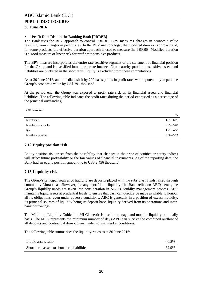#### **Profit Rate Risk in the Banking Book [PRRBB]**

The Bank uses the BPV approach to control PRRBB. BPV measures changes in economic value resulting from changes in profit rates. In the BPV methodology, the modified duration approach and, for some products, the effective duration approach is used to measure the PRRBB. Modified duration is a good measure of linear risk for profit rate sensitive products.

The BPV measure incorporates the entire rate sensitive segment of the statement of financial position for the Group and is classified into appropriate buckets. Non-maturity profit rate sensitive assets and liabilities are bucketed in the short term. Equity is excluded from these computations.

As at 30 June 2016, an immediate shift by 200 basis points in profit rates would potentially impact the Group's economic value by US\$ 291 thousand.

At the period end, the Group was exposed to profit rate risk on its financial assets and financial liabilities. The following table indicates the profit rates during the period expressed as a percentage of the principal outstanding.

#### *US\$ thousands*

|                      | $\frac{6}{9}$ |
|----------------------|---------------|
| Investments          | $1.61 - 6.25$ |
| Murabaha receivables | $0.35 - 5.00$ |
| Ijara                | $1.21 - 4.55$ |
| Murabaha payables    | $0.30 - 3.22$ |

#### <span id="page-19-0"></span>**7.12 Equity position risk**

Equity position risk arises from the possibility that changes in the price of equities or equity indices will affect future profitability or the fair values of financial instruments. As of the reporting date, the Bank had an equity position amounting to US\$ 2,456 thousand.

#### <span id="page-19-1"></span>**7.13 Liquidity risk**

The Group's principal sources of liquidity are deposits placed with the subsidiary funds raised through commodity Murabahas. However, for any shortfall in liquidity, the Bank relies on ABC; hence, the Group's liquidity needs are taken into consideration in ABC's liquidity management process. ABC maintains liquid assets at prudential levels to ensure that cash can quickly be made available to honour all its obligations, even under adverse conditions. ABC is generally in a position of excess liquidity, its principal sources of liquidity being its deposit base, liquidity derived from its operations and interbank borrowings.

The Minimum Liquidity Guideline [MLG] metric is used to manage and monitor liquidity on a daily basis. The MLG represents the minimum number of days ABC can survive the combined outflow of all deposits and contractual draw-downs, under normal market conditions.

The following table summarises the liquidity ratios as at 30 June 2016:

| Liquid assets ratio                         | 40.5% |
|---------------------------------------------|-------|
| Short-term assets to short-term liabilities | 62.9% |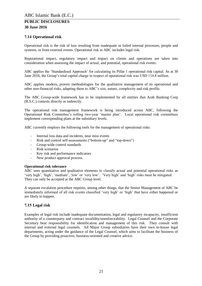#### <span id="page-20-0"></span>**7.14 Operational risk**

Operational risk is the risk of loss resulting from inadequate or failed internal processes, people and systems, or from external events. Operational risk in ABC includes legal risk.

Reputational impact, regulatory impact and impact on clients and operations are taken into consideration when assessing the impact of actual, and potential, operational risk events.

ABC applies the 'Standardised Approach' for calculating its Pillar 1 operational risk capital. As at 30 June 2016, the Group's total capital charge in respect of operational risk was USD 114.8 million.

ABC applies modern, proven methodologies for the qualitative management of its operational and other non-financial risks, adapting them to ABC's size, nature, complexity and risk profile.

The ABC Group-wide framework has to be implemented by all entities that Arab Banking Corp (B.S.C.) controls directly or indirectly.

The operational risk management framework is being introduced across ABC, following the Operational Risk Committee's rolling two-year 'master plan'. Local operational risk committees implement corresponding plans at the subsidiary levels.

ABC currently employs the following tools for the management of operational risks:

- Internal loss data and incidents, near miss events
- Risk and control self-assessments ("bottom-up" and "top-down")
- Group-wide control standards
- Risk scenarios
- Key risk and performance indicators
- New product approval process.

#### **Operational risk tolerance**

ABC uses quantitative and qualitative elements to classify actual and potential operational risks as 'very high', 'high', 'medium', 'low' or 'very low'. 'Very high' and 'high' risks must be mitigated. They can only be accepted at the ABC Group level.

A separate escalation procedure requires, among other things, that the Senior Management of ABC be immediately informed of all risk events classified 'very high' or 'high' that have either happened or are likely to happen.

#### <span id="page-20-1"></span>**7.15 Legal risk**

Examples of legal risk include inadequate documentation, legal and regulatory incapacity, insufficient authority of a counterparty and contract invalidity/unenforceability. Legal Counsel and the Corporate Secretary bear responsibility for identification and management of this risk. They consult with internal and external legal counsels. All Major Group subsidiaries have their own in-house legal departments, acting under the guidance of the Legal Counsel, which aims to facilitate the business of the Group by providing proactive, business-oriented and creative advice.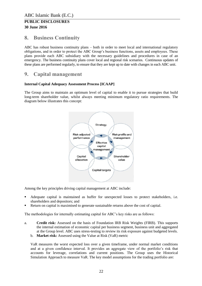### <span id="page-21-0"></span>**8. Business Continuity**

ABC has robust business continuity plans – both in order to meet local and international regulatory obligations, and in order to protect the ABC Group's business functions, assets and employees. These plans provide each ABC subsidiary with the necessary guidelines and procedures in case of an emergency. The business continuity plans cover local and regional risk scenarios. Continuous updates of these plans are performed regularly, to ensure that they are kept up to date with changes in each ABC unit.

### <span id="page-21-1"></span>**9. Capital management**

#### **Internal Capital Adequacy Assessment Process [ICAAP]**

The Group aims to maintain an optimum level of capital to enable it to pursue strategies that build long-term shareholder value, whilst always meeting minimum regulatory ratio requirements. The diagram below illustrates this concept:



Among the key principles driving capital management at ABC include:

- Adequate capital is maintained as buffer for unexpected losses to protect stakeholders, i.e. shareholders and depositors; and
- Return on capital is maximised to generate sustainable returns above the cost of capital.

The methodologies for internally estimating capital for ABC's key risks are as follows:

- a. **Credit risk:** Assessed on the basis of Foundation IRB Risk Weights (FIRB). This supports the internal estimation of economic capital per business segment, business unit and aggregated at the Group level. ABC uses stress-testing to review its risk exposure against budgeted levels.
	- b. **Market risk:** Assessed using the Value at Risk (VaR) metric

VaR measures the worst expected loss over a given timeframe, under normal market conditions and at a given confidence interval. It provides an aggregate view of the portfolio's risk that accounts for leverage, correlations and current positions. The Group uses the Historical Simulation Approach to measure VaR. The key model assumptions for the trading portfolio are: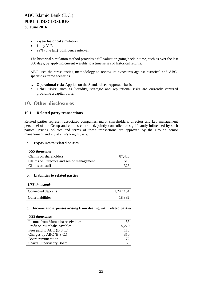# **30 June 2016**

- 2-year historical simulation
- 1-day VaR
- 99% (one tail) confidence interval

The historical simulation method provides a full valuation going back in time, such as over the last 500 days, by applying current weights to a time series of historical returns.

ABC uses the stress-testing methodology to review its exposures against historical and ABCspecific extreme scenarios.

- **c. Operational risk:** Applied on the Standardised Approach basis.
- **d. Other risks:** such as liquidity, strategic and reputational risks are currently captured providing a capital buffer.

### <span id="page-22-0"></span>**10. Other disclosures**

#### <span id="page-22-1"></span>**10.1 Related party transactions**

Related parties represent associated companies, major shareholders, directors and key management personnel of the Group and entities controlled, jointly controlled or significantly influenced by such parties. Pricing policies and terms of these transactions are approved by the Group's senior management and are at arm's length basis.

#### **a. Exposures to related parties**

|  | <b>US\$</b> thousands |
|--|-----------------------|
|--|-----------------------|

| Claims on shareholders                    | 87.418 |
|-------------------------------------------|--------|
| Claims on Directors and senior management | 519    |
| Claims on staff                           | 326    |

#### **b. Liabilities to related parties**

| <b>US\$</b> thousands |           |
|-----------------------|-----------|
| Connected deposits    | 1,247,464 |
| Other liabilities     | 18,889    |

#### **c. Income and expenses arising from dealing with related parties**

#### *US\$ thousands*

| Income from Murabaha receivables | 53    |
|----------------------------------|-------|
| Profit on Murabaha payables      | 5,220 |
| Fees paid to ABC (B.S.C.)        | 113   |
| Charges by ABC (B.S.C.)          | 350   |
| Board remuneration               | 72    |
| Shari'a Supervisory Board        | 60    |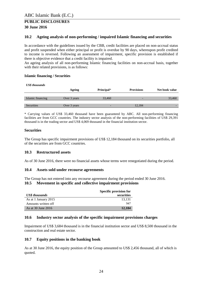#### <span id="page-23-0"></span>**10.2 Ageing analysis of non-performing / impaired Islamic financing and securities**

In accordance with the guidelines issued by the CBB, credit facilities are placed on non-accrual status and profit suspended when either principal or profit is overdue by 90 days, whereupon profit credited to income is reversed. Following an assessment of impairment, specific provision is established if there is objective evidence that a credit facility is impaired.

An ageing analysis of all non-performing Islamic financing facilities on non-accrual basis, together with their related provisions, is as follows:

#### **Islamic financing / Securities**

| <b>US\$</b> thousands |              |                          |                          |                |
|-----------------------|--------------|--------------------------|--------------------------|----------------|
|                       | Ageing       | Principal*               | <b>Provisions</b>        | Net book value |
|                       |              |                          |                          |                |
| Islamic financing     | Over 3 years | 33,460                   | $\overline{\phantom{0}}$ | 33,460         |
|                       |              |                          |                          |                |
| Securities            | Over 3 years | $\overline{\phantom{0}}$ | 12.184                   | -              |

\* Carrying values of US\$ 33,460 thousand have been guaranteed by ABC. All non-performing financing facilities are from GCC countries. The industry sector analysis of the non-performing facilities of US\$ 29,391 thousand is in the trading sector and US\$ 4,069 thousand in the financial institution sector.

#### **Securities**

The Group has specific impairment provisions of US\$ 12,184 thousand on its securities portfolio, all of the securities are from GCC countries.

#### <span id="page-23-1"></span>**10.3 Restructured assets**

As of 30 June 2016, there were no financial assets whose terms were renegotiated during the period.

#### <span id="page-23-2"></span>**10.4 Assets sold under recourse agreements**

<span id="page-23-3"></span>The Group has not entered into any recourse agreement during the period ended 30 June 2016. **10.5 Movement in specific and collective impairment provisions**

|                       | <b>Specific provision for</b> |
|-----------------------|-------------------------------|
| <b>US\$</b> thousands | securities                    |
| As at 1 January 2015  | 13.131                        |
| Amounts written off   | 947                           |
| As at 30 June 2016    | 12.184                        |

#### <span id="page-23-4"></span>**10.6 Industry sector analysis of the specific impairment provisions charges**

Impairment of US\$ 3,684 thousand is in the financial institution sector and US\$ 8,500 thousand in the construction and real estate sector.

#### <span id="page-23-5"></span>**10.7 Equity positions in the banking book**

As at 30 June 2016, the equity position of the Group amounted to US\$ 2,456 thousand, all of which is quoted.